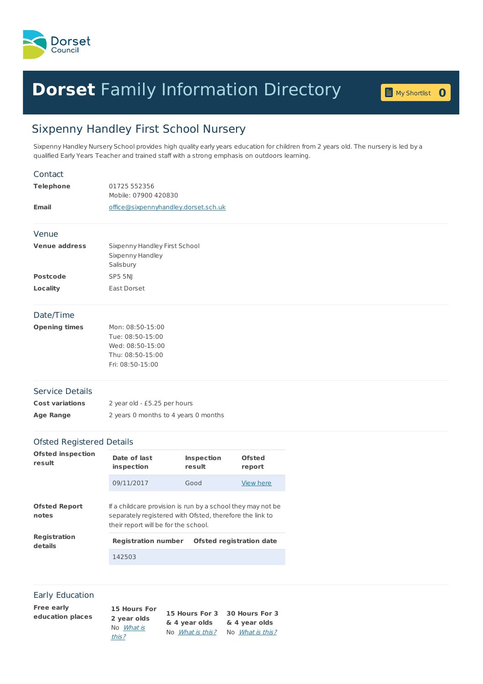

## **Dorset** Family [Information](home.page) Directory **<sup>0</sup>**

My [Shortlist](shortlist.page) 0

## Sixpenny Handley First School Nursery

Sixpenny Handley Nursery School provides high quality early years education for children from 2 years old. The nursery is led by a qualified Early Years Teacher and trained staff with a strong emphasis on outdoors learning.

| Contact                            |                                                                                                                                                                 |                                 |                         |  |  |
|------------------------------------|-----------------------------------------------------------------------------------------------------------------------------------------------------------------|---------------------------------|-------------------------|--|--|
| <b>Telephone</b>                   | 01725 552356<br>Mobile: 07900 420830                                                                                                                            |                                 |                         |  |  |
| <b>Email</b>                       | office@sixpennyhandley.dorset.sch.uk                                                                                                                            |                                 |                         |  |  |
| Venue                              |                                                                                                                                                                 |                                 |                         |  |  |
| <b>Venue address</b>               | Sixpenny Handley First School<br>Sixpenny Handley<br>Salisbury                                                                                                  |                                 |                         |  |  |
| <b>Postcode</b>                    | SP5 5NJ                                                                                                                                                         |                                 |                         |  |  |
| Locality                           | East Dorset                                                                                                                                                     |                                 |                         |  |  |
| Date/Time                          |                                                                                                                                                                 |                                 |                         |  |  |
| <b>Opening times</b>               | Mon: 08:50-15:00<br>Tue: 08:50-15:00<br>Wed: 08:50-15:00<br>Thu: 08:50-15:00<br>Fri: 08:50-15:00                                                                |                                 |                         |  |  |
| <b>Service Details</b>             |                                                                                                                                                                 |                                 |                         |  |  |
| <b>Cost variations</b>             | 2 year old - £5.25 per hours                                                                                                                                    |                                 |                         |  |  |
| <b>Age Range</b>                   | 2 years 0 months to 4 years 0 months                                                                                                                            |                                 |                         |  |  |
| <b>Ofsted Registered Details</b>   |                                                                                                                                                                 |                                 |                         |  |  |
| <b>Ofsted inspection</b><br>result | Date of last<br>inspection                                                                                                                                      | <b>Inspection</b><br>result     | <b>Ofsted</b><br>report |  |  |
|                                    | 09/11/2017                                                                                                                                                      | Good                            | View here               |  |  |
| <b>Ofsted Report</b><br>notes      | If a childcare provision is run by a school they may not be<br>separately registered with Ofsted, therefore the link to<br>their report will be for the school. |                                 |                         |  |  |
| Registration<br>details            | <b>Registration number</b>                                                                                                                                      | <b>Ofsted registration date</b> |                         |  |  |
|                                    | 142503                                                                                                                                                          |                                 |                         |  |  |
|                                    |                                                                                                                                                                 |                                 |                         |  |  |

## Early Education

| Free early<br>education places | 15 Hours For<br>2 year olds<br>No <i>What is</i><br>this? | 15 Hours For 3 30 Hours For 3<br>& 4 year olds | & 4 year olds            |  |
|--------------------------------|-----------------------------------------------------------|------------------------------------------------|--------------------------|--|
|                                |                                                           | No <i>What is this?</i>                        | No <i>What is this</i> ? |  |